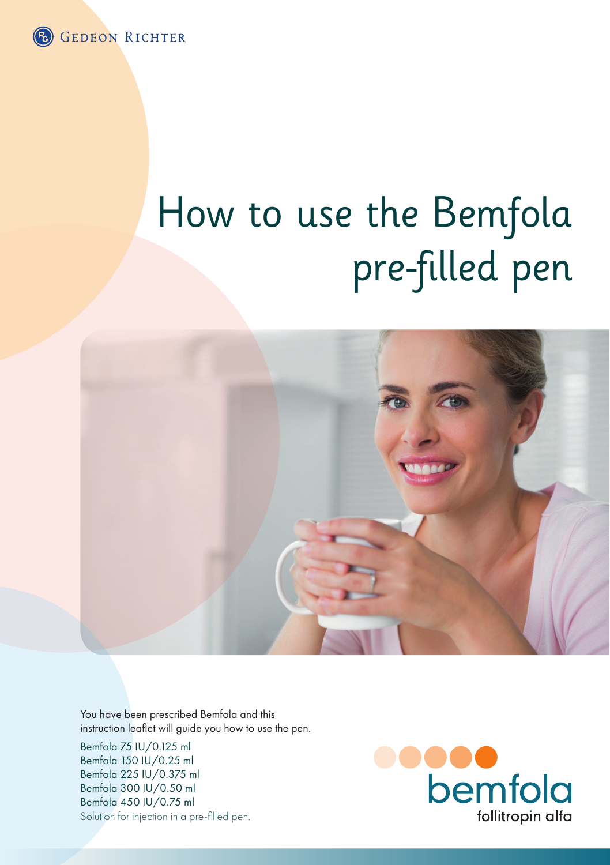

# How to use the Bemfola pre-filled pen



You have been prescribed Bemfola and this instruction leaflet will guide you how to use the pen.

Bemfola 75 IU/0.125 ml Bemfola 150 IU/0.25 ml Bemfola 225 IU/0.375 ml Bemfola 300 IU/0.50 ml Bemfola 450 IU/0.75 ml Solution for injection in a pre-filled pen.

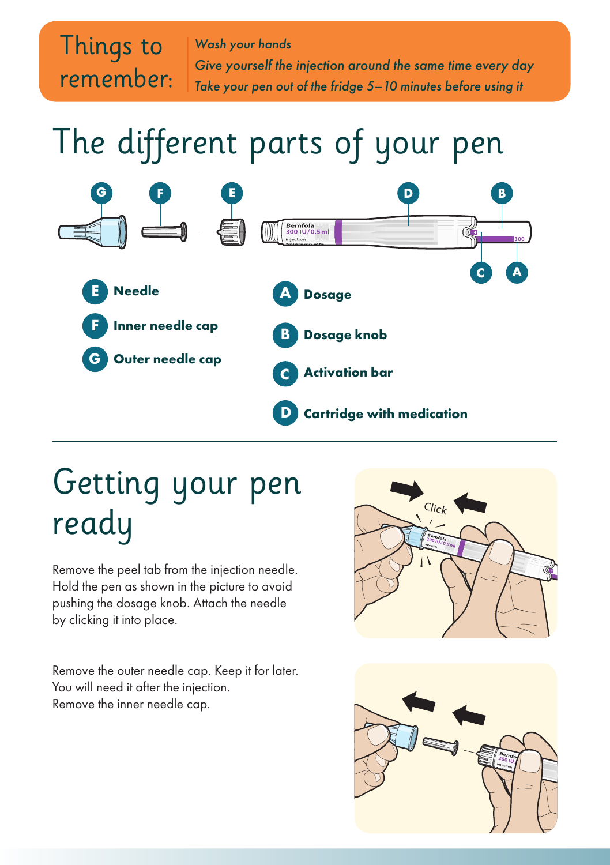

The different parts of your pen



## Getting your pen ready

Remove the peel tab from the injection needle. Hold the pen as shown in the picture to avoid pushing the dosage knob. Attach the needle by clicking it into place.

Remove the outer needle cap. Keep it for later. You will need it after the injection. Remove the inner needle cap.



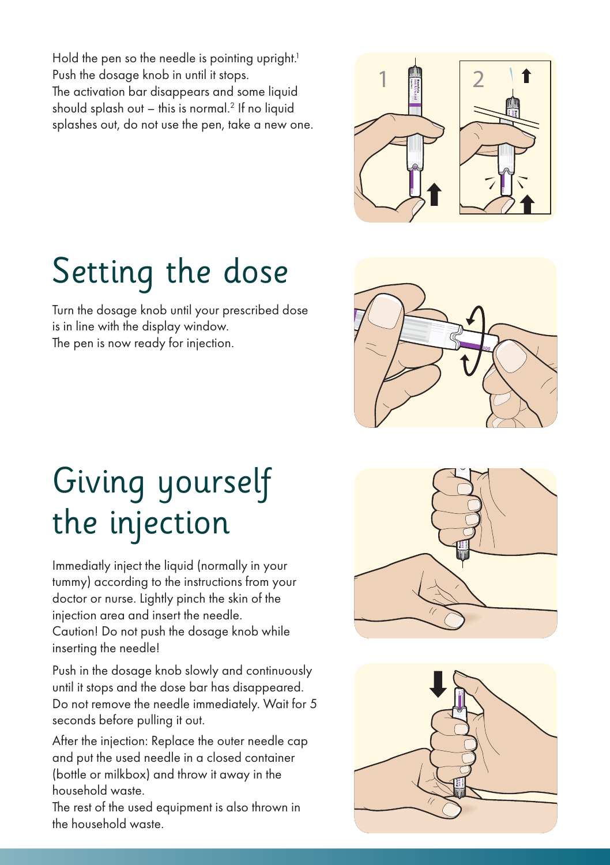Hold the pen so the needle is pointing upright.<sup>1</sup> Push the dosage knob in until it stops. The activation bar disappears and some liquid should splash out  $-$  this is normal.<sup>2</sup> If no liquid splashes out, do not use the pen, take a new one.



# Setting the dose

Turn the dosage knob until your prescribed dose is in line with the display window. The pen is now ready for injection.



### Giving yourself the injection

Immediatly inject the liquid (normally in your tummy) according to the instructions from your doctor or nurse. Lightly pinch the skin of the injection area and insert the needle. Caution! Do not push the dosage knob while inserting the needle!

Push in the dosage knob slowly and continuously until it stops and the dose bar has disappeared. Do not remove the needle immediately. Wait for 5 seconds before pulling it out.

After the injection: Replace the outer needle cap and put the used needle in a closed container (bottle or milkbox) and throw it away in the household waste.

The rest of the used equipment is also thrown in the household waste.